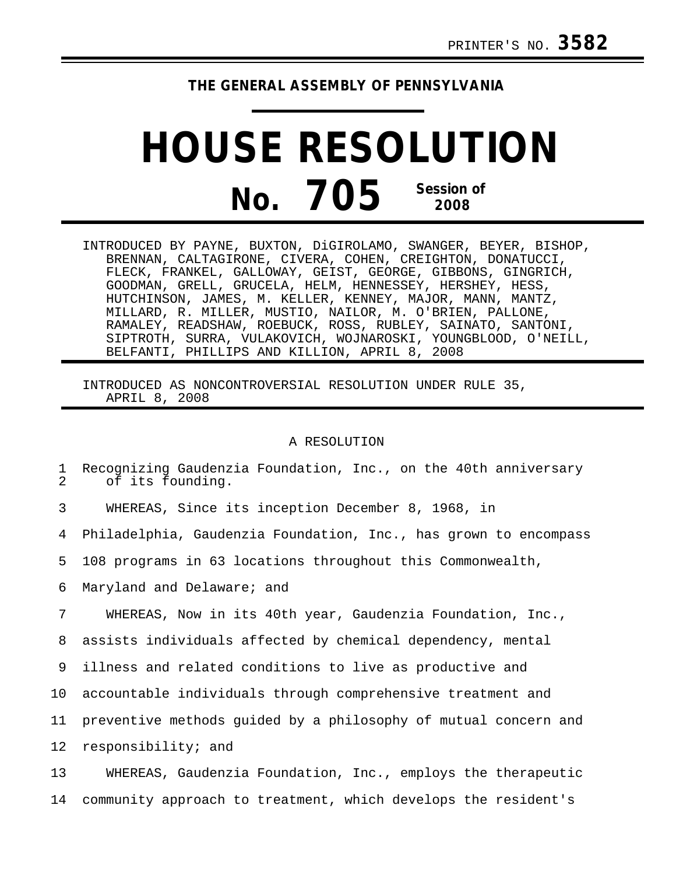## **THE GENERAL ASSEMBLY OF PENNSYLVANIA**

## **HOUSE RESOLUTION No. 705 Session of 2008**

INTRODUCED BY PAYNE, BUXTON, DiGIROLAMO, SWANGER, BEYER, BISHOP, BRENNAN, CALTAGIRONE, CIVERA, COHEN, CREIGHTON, DONATUCCI, FLECK, FRANKEL, GALLOWAY, GEIST, GEORGE, GIBBONS, GINGRICH, GOODMAN, GRELL, GRUCELA, HELM, HENNESSEY, HERSHEY, HESS, HUTCHINSON, JAMES, M. KELLER, KENNEY, MAJOR, MANN, MANTZ, MILLARD, R. MILLER, MUSTIO, NAILOR, M. O'BRIEN, PALLONE, RAMALEY, READSHAW, ROEBUCK, ROSS, RUBLEY, SAINATO, SANTONI, SIPTROTH, SURRA, VULAKOVICH, WOJNAROSKI, YOUNGBLOOD, O'NEILL, BELFANTI, PHILLIPS AND KILLION, APRIL 8, 2008

INTRODUCED AS NONCONTROVERSIAL RESOLUTION UNDER RULE 35, APRIL 8, 2008

## A RESOLUTION

1 Recognizing Gaudenzia Foundation, Inc., on the 40th anniversary of its founding.

3 WHEREAS, Since its inception December 8, 1968, in

4 Philadelphia, Gaudenzia Foundation, Inc., has grown to encompass

5 108 programs in 63 locations throughout this Commonwealth,

6 Maryland and Delaware; and

7 WHEREAS, Now in its 40th year, Gaudenzia Foundation, Inc.,

8 assists individuals affected by chemical dependency, mental

9 illness and related conditions to live as productive and

10 accountable individuals through comprehensive treatment and

11 preventive methods guided by a philosophy of mutual concern and

12 responsibility; and

13 WHEREAS, Gaudenzia Foundation, Inc., employs the therapeutic 14 community approach to treatment, which develops the resident's